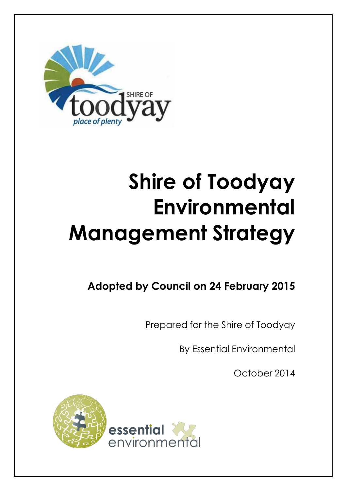

# **Shire of Toodyay Environmental Management Strategy**

# **Adopted by Council on 24 February 2015**

Prepared for the Shire of Toodyay

By Essential Environmental

October 2014

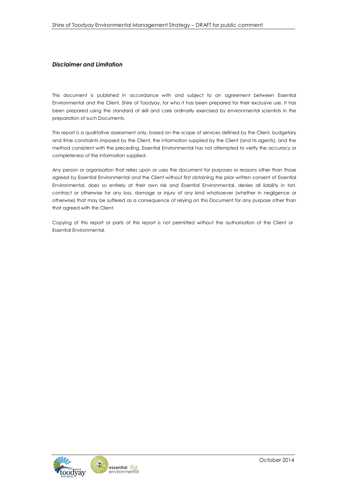#### *Disclaimer and Limitation*

This document is published in accordance with and subject to an agreement between Essential Environmental and the Client, Shire of Toodyay, for who it has been prepared for their exclusive use. It has been prepared using the standard of skill and care ordinarily exercised by environmental scientists in the preparation of such Documents.

This report is a qualitative assessment only, based on the scope of services defined by the Client, budgetary and time constraints imposed by the Client, the information supplied by the Client (and its agents), and the method consistent with the preceding. Essential Environmental has not attempted to verify the accuracy or completeness of the information supplied.

Any person or organisation that relies upon or uses the document for purposes or reasons other than those agreed by Essential Environmental and the Client without first obtaining the prior written consent of Essential Environmental, does so entirely at their own risk and Essential Environmental, denies all liability in tort, contract or otherwise for any loss, damage or injury of any kind whatsoever (whether in negligence or otherwise) that may be suffered as a consequence of relying on this Document for any purpose other than that agreed with the Client.

Copying of this report or parts of this report is not permitted without the authorisation of the Client or Essential Environmental.

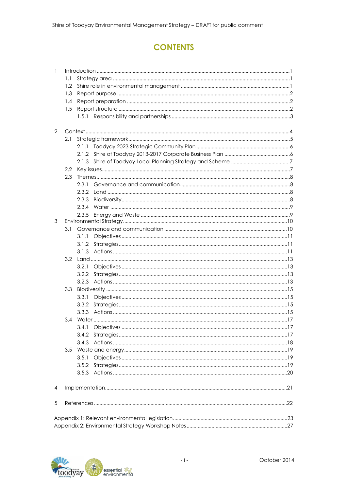# **CONTENTS**

| $\mathbf{1}$ |     |       |  |  |  |  |  |
|--------------|-----|-------|--|--|--|--|--|
|              | 1.1 |       |  |  |  |  |  |
|              | 1.2 |       |  |  |  |  |  |
|              | 1.3 |       |  |  |  |  |  |
|              | 1.4 |       |  |  |  |  |  |
|              | 1.5 |       |  |  |  |  |  |
|              |     |       |  |  |  |  |  |
|              |     |       |  |  |  |  |  |
| $\mathbf{2}$ |     |       |  |  |  |  |  |
|              | 2.1 |       |  |  |  |  |  |
|              |     | 2.1.1 |  |  |  |  |  |
|              |     | 2.1.2 |  |  |  |  |  |
|              |     | 2.1.3 |  |  |  |  |  |
|              | 2.2 |       |  |  |  |  |  |
|              | 2.3 |       |  |  |  |  |  |
|              |     | 2.3.1 |  |  |  |  |  |
|              |     |       |  |  |  |  |  |
|              |     | 2.3.3 |  |  |  |  |  |
|              |     | 2.3.4 |  |  |  |  |  |
|              |     | 2.3.5 |  |  |  |  |  |
| 3            |     |       |  |  |  |  |  |
|              | 3.1 |       |  |  |  |  |  |
|              |     | 3.1.1 |  |  |  |  |  |
|              |     | 3.1.2 |  |  |  |  |  |
|              |     |       |  |  |  |  |  |
|              | 3.2 |       |  |  |  |  |  |
|              |     | 3.2.1 |  |  |  |  |  |
|              |     | 3.2.2 |  |  |  |  |  |
|              |     | 3.2.3 |  |  |  |  |  |
|              | 3.3 |       |  |  |  |  |  |
|              |     | 3.3.1 |  |  |  |  |  |
|              |     | 3.3.2 |  |  |  |  |  |
|              |     | 3.3.3 |  |  |  |  |  |
|              | 3.4 |       |  |  |  |  |  |
|              |     |       |  |  |  |  |  |
|              |     |       |  |  |  |  |  |
|              |     | 3.4.3 |  |  |  |  |  |
|              | 3.5 |       |  |  |  |  |  |
|              |     | 3.5.1 |  |  |  |  |  |
|              |     | 3.5.2 |  |  |  |  |  |
|              |     |       |  |  |  |  |  |
|              |     |       |  |  |  |  |  |
| 4            |     |       |  |  |  |  |  |
| 5            |     |       |  |  |  |  |  |
|              |     |       |  |  |  |  |  |
|              |     |       |  |  |  |  |  |
|              |     |       |  |  |  |  |  |

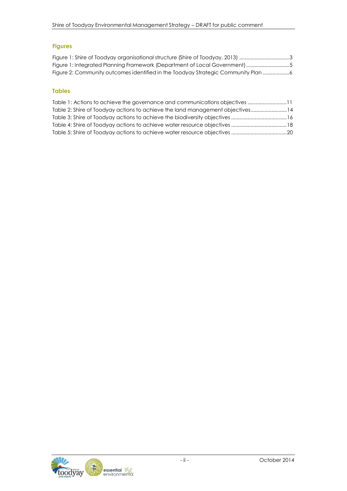# **Figures**

| Figure 1: Shire of Toodyay organisational structure (Shire of Toodyay, 2013) 3  |  |
|---------------------------------------------------------------------------------|--|
| Figure 1: Integrated Planning Framework (Department of Local Government) 5      |  |
| Figure 2: Community outcomes identified in the Toodyay Strategic Community Plan |  |

#### **Tables**

| Table 2: Shire of Toodyay actions to achieve the land management objectives14 |  |
|-------------------------------------------------------------------------------|--|
|                                                                               |  |
|                                                                               |  |
|                                                                               |  |

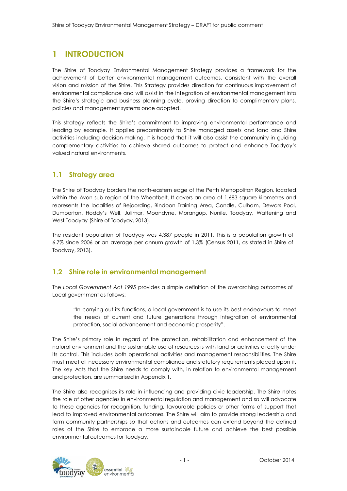# **1 INTRODUCTION**

The Shire of Toodyay Environmental Management Strategy provides a framework for the achievement of better environmental management outcomes, consistent with the overall vision and mission of the Shire. This Strategy provides direction for continuous improvement of environmental compliance and will assist in the integration of environmental management into the Shire's strategic and business planning cycle, proving direction to complimentary plans, policies and management systems once adopted.

This strategy reflects the Shire's commitment to improving environmental performance and leading by example. It applies predominantly to Shire managed assets and land and Shire activities including decision-making. It is hoped that it will also assist the community in guiding complementary activities to achieve shared outcomes to protect and enhance Toodyay's valued natural environments.

# **1.1 Strategy area**

The Shire of Toodyay borders the north-eastern edge of the Perth Metropolitan Region, located within the Avon sub region of the Wheatbelt. It covers an area of 1,683 square kilometres and represents the localities of Bejoording, Bindoon Training Area, Condle, Culham, Dewars Pool, Dumbarton, Hoddy's Well, Julimar, Moondyne, Morangup, Nunile, Toodyay, Wattening and West Toodyay (Shire of Toodyay, 2013).

The resident population of Toodyay was 4,387 people in 2011. This is a population growth of 6.7% since 2006 or an average per annum growth of 1.3% (Census 2011, as stated in Shire of Toodyay, 2013).

# **1.2 Shire role in environmental management**

The *Local Government Act 1995* provides a simple definition of the overarching outcomes of Local government as follows:

"In carrying out its functions, a local government is to use its best endeavours to meet the needs of current and future generations through integration of environmental protection, social advancement and economic prosperity".

The Shire's primary role in regard of the protection, rehabilitation and enhancement of the natural environment and the sustainable use of resources is with land or activities directly under its control. This includes both operational activities and management responsibilities. The Shire must meet all necessary environmental compliance and statutory requirements placed upon it. The key Acts that the Shire needs to comply with, in relation to environmental management and protection, are summarised in Appendix 1.

The Shire also recognises its role in influencing and providing civic leadership. The Shire notes the role of other agencies in environmental regulation and management and so will advocate to these agencies for recognition, funding, favourable policies or other forms of support that lead to improved environmental outcomes. The Shire will aim to provide strong leadership and form community partnerships so that actions and outcomes can extend beyond the defined roles of the Shire to embrace a more sustainable future and achieve the best possible environmental outcomes for Toodyay.

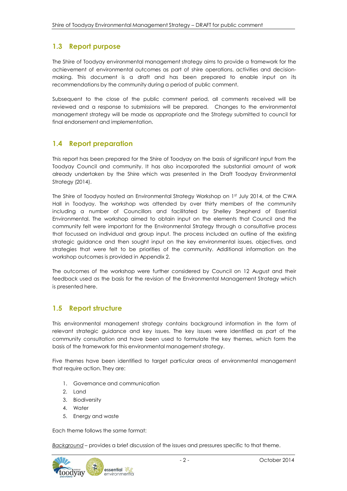# **1.3 Report purpose**

The Shire of Toodyay environmental management strategy aims to provide a framework for the achievement of environmental outcomes as part of shire operations, activities and decisionmaking. This document is a draft and has been prepared to enable input on its recommendations by the community during a period of public comment.

Subsequent to the close of the public comment period, all comments received will be reviewed and a response to submissions will be prepared. Changes to the environmental management strategy will be made as appropriate and the Strategy submitted to council for final endorsement and implementation.

## **1.4 Report preparation**

This report has been prepared for the Shire of Toodyay on the basis of significant input from the Toodyay Council and community. It has also incorporated the substantial amount of work already undertaken by the Shire which was presented in the Draft Toodyay Environmental Strategy (2014).

The Shire of Toodyay hosted an Environmental Strategy Workshop on 1 st July 2014, at the CWA Hall in Toodyay. The workshop was attended by over thirty members of the community including a number of Councillors and facilitated by Shelley Shepherd of Essential Environmental. The workshop aimed to obtain input on the elements that Council and the community felt were important for the Environmental Strategy through a consultative process that focussed on individual and group input. The process included an outline of the existing strategic guidance and then sought input on the key environmental issues, objectives, and strategies that were felt to be priorities of the community. Additional information on the workshop outcomes is provided in Appendix 2.

The outcomes of the workshop were further considered by Council on 12 August and their feedback used as the basis for the revision of the Environmental Management Strategy which is presented here.

# **1.5 Report structure**

This environmental management strategy contains background information in the form of relevant strategic guidance and key issues. The key issues were identified as part of the community consultation and have been used to formulate the key themes, which form the basis of the framework for this environmental management strategy.

Five themes have been identified to target particular areas of environmental management that require action. They are:

- 1. Governance and communication
- 2. Land
- 3. Biodiversity
- 4. Water
- 5. Energy and waste

Each theme follows the same format:

*Background* – provides a brief discussion of the issues and pressures specific to that theme.

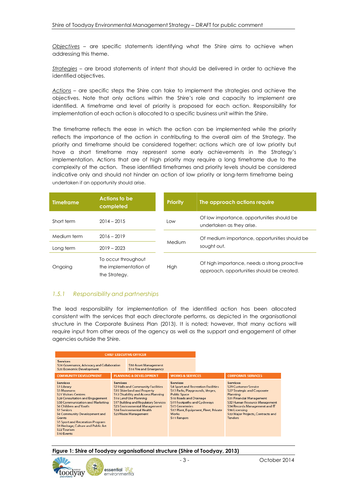*Objectives* – are specific statements identifying what the Shire aims to achieve when addressing this theme.

*Strategies* – are broad statements of intent that should be delivered in order to achieve the identified objectives.

*Actions* – are specific steps the Shire can take to implement the strategies and achieve the objectives. Note that only actions within the Shire's role and capacity to implement are identified. A timeframe and level of priority is proposed for each action. Responsibility for implementation of each action is allocated to a specific business unit within the Shire.

The timeframe reflects the ease in which the action can be implemented while the priority reflects the importance of the action in contributing to the overall aim of the Strategy. The priority and timeframe should be considered together; actions which are of low priority but have a short timeframe may represent some early achievements in the Strategy's implementation. Actions that are of high priority may require a long timeframe due to the complexity of the action. These identified timeframes and priority levels should be considered indicative only and should not hinder an action of low priority or long-term timeframe being undertaken if an opportunity should arise.

| <b>Timeframe</b> | <b>Actions to be</b><br>completed                             | <b>Priority</b> | The approach actions require                                                               |  |
|------------------|---------------------------------------------------------------|-----------------|--------------------------------------------------------------------------------------------|--|
| Short term       | $2014 - 2015$                                                 | Low             | Of low importance, opportunities should be<br>undertaken as they arise.                    |  |
| Medium term      | $2016 - 2019$                                                 | Medium          | Of medium importance, opportunities should be                                              |  |
| Long term        | $2019 - 2023$                                                 |                 | sought out.                                                                                |  |
| Ongoing          | To occur throughout<br>the implementation of<br>the Strategy. | High            | Of high importance, needs a strong proactive<br>approach, opportunities should be created. |  |

#### *1.5.1 Responsibility and partnerships*

The lead responsibility for implementation of the identified action has been allocated consistent with the services that each directorate performs, as depicted in the organisational structure in the Corporate Business Plan (2013). It is noted; however, that many actions will require input from other areas of the agency as well as the support and engagement of other agencies outside the Shire.

| <b>CHIEF EXECUTIVE OFFICER</b>                                                                                                                                                                                                                                                                                                                                                          |                                                              |                                                                                                                                                                                                                                                                                                             |                                                                                                                                                                                                                                                              |                                      |                                                                                                                                                                                                                                                                                           |
|-----------------------------------------------------------------------------------------------------------------------------------------------------------------------------------------------------------------------------------------------------------------------------------------------------------------------------------------------------------------------------------------|--------------------------------------------------------------|-------------------------------------------------------------------------------------------------------------------------------------------------------------------------------------------------------------------------------------------------------------------------------------------------------------|--------------------------------------------------------------------------------------------------------------------------------------------------------------------------------------------------------------------------------------------------------------|--------------------------------------|-------------------------------------------------------------------------------------------------------------------------------------------------------------------------------------------------------------------------------------------------------------------------------------------|
| <b>Services</b><br>\$26 Governance, Advocacy and Collaboration<br><b>S20 Economic Development</b>                                                                                                                                                                                                                                                                                       | <b>S30 Asset Management</b><br><b>S14 Fire and Emergency</b> |                                                                                                                                                                                                                                                                                                             |                                                                                                                                                                                                                                                              |                                      |                                                                                                                                                                                                                                                                                           |
| <b>COMMUNITY DEVELOPMENT</b>                                                                                                                                                                                                                                                                                                                                                            |                                                              | <b>PLANNING &amp; DEVELOPMENT</b>                                                                                                                                                                                                                                                                           | <b>WORKS &amp; SERVICES</b>                                                                                                                                                                                                                                  |                                      | <b>CORPORATE SERVICES</b>                                                                                                                                                                                                                                                                 |
| <b>Services</b><br>S1 Library<br>S3 Museums<br><b>S21 Visitors Centres</b><br><b>S28 Consultation and Engagement</b><br><b>S38 Communication and Marketing</b><br><b>S6 Children and Youth</b><br><b>S7 Seniors</b><br>S8 Community Development and<br>Grants<br><b>S5 Sport and Recreation Program</b><br>S9 Heritage, Culture and Public Art<br>S <sub>22</sub> Tourism<br>S10 Events | <b>Services</b>                                              | <b>S2 Halls and Community Facilities</b><br><b>S35 Shire land and Property</b><br><b>S12 Disability and Access Planning</b><br><b>S16 Land Use Planning</b><br><b>S17 Building and Regulatory Services</b><br><b>S23 Environmental Management</b><br><b>S24 Environmental Health</b><br>S25Waste Management | <b>Services</b><br><b>S4 Sport and Recreation Facilities</b><br>S13 Parks, Playgrounds, Verges,<br><b>Public Space</b><br><b>S18 Roads and Drainage</b><br><b>S19 Footpaths and Cycleways</b><br><b>S15 Cemeteries</b><br><b>Works</b><br><b>S11 Rangers</b> | S37 Plant, Equipment, Fleet, Private | <b>Services</b><br><b>S29 Customer Service</b><br><b>S27 Strategic and Corporate</b><br>Planning<br><b>S31 Financial Management</b><br>S32 Human Resource Management<br>S34 Records Management and IT<br>S <sub>36</sub> Licensing<br>S33 Major Projects, Contracts and<br><b>Tenders</b> |

**Figure 1: Shire of Toodyay organisational structure (Shire of Toodyay, 2013)**

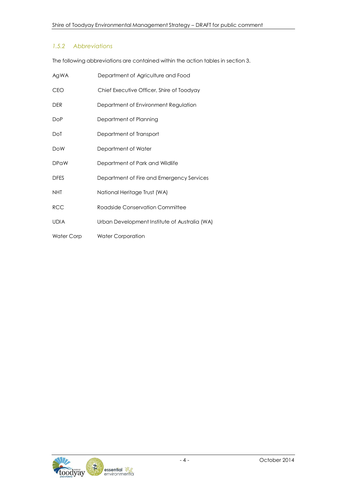#### *1.5.2 Abbreviations*

The following abbreviations are contained within the action tables in section 3.

| Ag WA             | Department of Agriculture and Food            |
|-------------------|-----------------------------------------------|
| <b>CEO</b>        | Chief Executive Officer, Shire of Toodyay     |
| <b>DER</b>        | Department of Environment Regulation          |
| <b>DoP</b>        | Department of Planning                        |
| DoT               | Department of Transport                       |
| <b>DoW</b>        | Department of Water                           |
| <b>DPaW</b>       | Department of Park and Wildlife               |
| <b>DFES</b>       | Department of Fire and Emergency Services     |
| <b>NHT</b>        | National Heritage Trust (WA)                  |
| <b>RCC</b>        | Roadside Conservation Committee               |
| <b>UDIA</b>       | Urban Development Institute of Australia (WA) |
| <b>Water Corp</b> | <b>Water Corporation</b>                      |

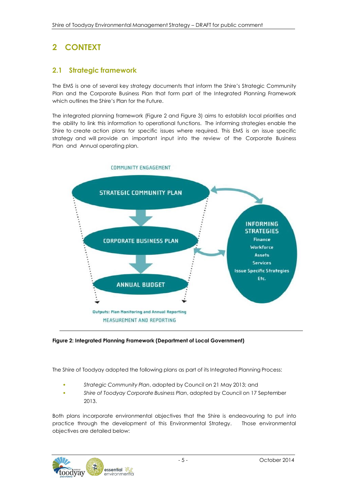# **2 CONTEXT**

# **2.1 Strategic framework**

The EMS is one of several key strategy documents that inform the Shire's Strategic Community Plan and the Corporate Business Plan that form part of the Integrated Planning Framework which outlines the Shire's Plan for the Future.

The integrated planning framework (Figure 2 and Figure 3) aims to establish local priorities and the ability to link this information to operational functions. The informing strategies enable the Shire to create action plans for specific issues where required. This EMS is an issue specific strategy and will provide an important input into the review of the Corporate Business Plan and Annual operating plan.



#### **Figure 2: Integrated Planning Framework (Department of Local Government)**

The Shire of Toodyay adopted the following plans as part of its Integrated Planning Process:

- *Strategic Community Plan*, adopted by Council on 21 May 2013; and
- *Shire of Toodyay Corporate Business Plan*, adopted by Council on 17 September 2013.

Both plans incorporate environmental objectives that the Shire is endeavouring to put into practice through the development of this Environmental Strategy. Those environmental objectives are detailed below:

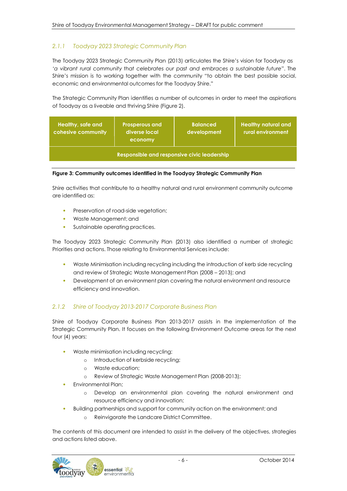## *2.1.1 Toodyay 2023 Strategic Community Plan*

The Toodyay 2023 Strategic Community Plan (2013) articulates the Shire's vision for Toodyay as *'a vibrant rural community that celebrates our past and embraces a sustainable future*". The Shire's mission is to working together with the community "to obtain the best possible social, economic and environmental outcomes for the Toodyay Shire."

The Strategic Community Plan identifies a number of outcomes in order to meet the aspirations of Toodyay as a liveable and thriving Shire (Figure 2).

| Healthy, safe and<br>cohesive community            | <b>Prosperous and</b><br>diverse local<br>economy | <b>Balanced</b><br>development | <b>Healthy natural and</b><br>rural environment |  |  |  |
|----------------------------------------------------|---------------------------------------------------|--------------------------------|-------------------------------------------------|--|--|--|
| <b>Responsible and responsive civic leadership</b> |                                                   |                                |                                                 |  |  |  |

#### **Figure 3: Community outcomes identified in the Toodyay Strategic Community Plan**

Shire activities that contribute to a healthy natural and rural environment community outcome are identified as:

- Preservation of road-side vegetation;
- Waste Management; and
- Sustainable operating practices.

The Toodyay 2023 Strategic Community Plan (2013) also identified a number of strategic Priorities and actions. Those relating to Environmental Services include:

- Waste Minimisation including recycling including the introduction of kerb side recycling and review of Strategic Waste Management Plan (2008 – 2013); and
- Development of an environment plan covering the natural environment and resource efficiency and innovation.

#### *2.1.2 Shire of Toodyay 2013-2017 Corporate Business Plan*

Shire of Toodyay Corporate Business Plan 2013-2017 assists in the implementation of the Strategic Community Plan. It focuses on the following Environment Outcome areas for the next four (4) years:

- Waste minimisation including recycling;
	- o Introduction of kerbside recycling;
	- o Waste education;
	- o Review of Strategic Waste Management Plan (2008-2013);
- Environmental Plan;
	- Develop an environmental plan covering the natural environment and resource efficiency and innovation;
- Building partnerships and support for community action on the environment; and
	- o Reinvigorate the Landcare District Committee.

The contents of this document are intended to assist in the delivery of the objectives, strategies and actions listed above.

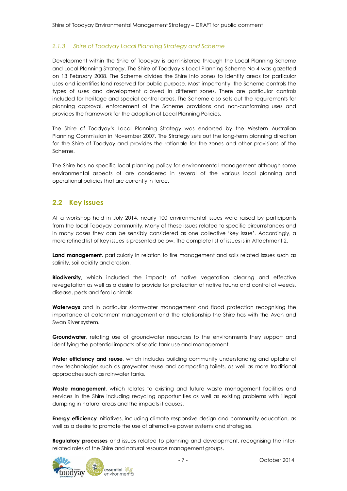#### *2.1.3 Shire of Toodyay Local Planning Strategy and Scheme*

Development within the Shire of Toodyay is administered through the Local Planning Scheme and Local Planning Strategy. The Shire of Toodyay's Local Planning Scheme No 4 was gazetted on 13 February 2008. The Scheme divides the Shire into zones to identify areas for particular uses and identifies land reserved for public purpose. Most importantly, the Scheme controls the types of uses and development allowed in different zones. There are particular controls included for heritage and special control areas. The Scheme also sets out the requirements for planning approval, enforcement of the Scheme provisions and non-conforming uses and provides the framework for the adoption of Local Planning Policies.

The Shire of Toodyay's Local Planning Strategy was endorsed by the Western Australian Planning Commission in November 2007. The Strategy sets out the long-term planning direction for the Shire of Toodyay and provides the rationale for the zones and other provisions of the Scheme.

The Shire has no specific local planning policy for environmental management although some environmental aspects of are considered in several of the various local planning and operational policies that are currently in force.

## **2.2 Key issues**

At a workshop held in July 2014, nearly 100 environmental issues were raised by participants from the local Toodyay community. Many of these issues related to specific circumstances and in many cases they can be sensibly considered as one collective 'key issue'. Accordingly, a more refined list of key issues is presented below. The complete list of issues is in Attachment 2.

**Land management**, particularly in relation to fire management and soils related issues such as salinity, soil acidity and erosion.

**Biodiversity**, which included the impacts of native vegetation clearing and effective revegetation as well as a desire to provide for protection of native fauna and control of weeds, disease, pests and feral animals.

**Waterways** and in particular stormwater management and flood protection recognising the importance of catchment management and the relationship the Shire has with the Avon and Swan River system.

**Groundwater**, relating use of groundwater resources to the environments they support and identifying the potential impacts of septic tank use and management.

**Water efficiency and reuse**, which includes building community understanding and uptake of new technologies such as greywater reuse and composting toilets, as well as more traditional approaches such as rainwater tanks.

**Waste management**, which relates to existing and future waste management facilities and services in the Shire including recycling opportunities as well as existing problems with illegal dumping in natural areas and the impacts it causes.

**Energy efficiency** initiatives, including climate responsive design and community education, as well as a desire to promote the use of alternative power systems and strategies.

**Regulatory processes** and issues related to planning and development, recognising the interrelated roles of the Shire and natural resource management groups.

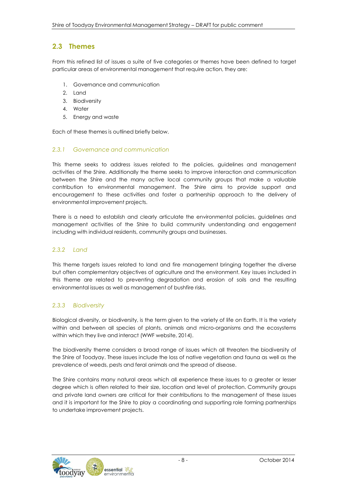# **2.3 Themes**

From this refined list of issues a suite of five categories or themes have been defined to target particular areas of environmental management that require action, they are:

- 1. Governance and communication
- 2. Land
- 3. Biodiversity
- 4. Water
- 5. Energy and waste

Each of these themes is outlined briefly below.

#### *2.3.1 Governance and communication*

This theme seeks to address issues related to the policies, guidelines and management activities of the Shire. Additionally the theme seeks to improve interaction and communication between the Shire and the many active local community groups that make a valuable contribution to environmental management. The Shire aims to provide support and encouragement to these activities and foster a partnership approach to the delivery of environmental improvement projects.

There is a need to establish and clearly articulate the environmental policies, guidelines and management activities of the Shire to build community understanding and engagement including with individual residents, community groups and businesses.

#### *2.3.2 Land*

This theme targets issues related to land and fire management bringing together the diverse but often complementary objectives of agriculture and the environment. Key issues included in this theme are related to preventing degradation and erosion of soils and the resulting environmental issues as well as management of bushfire risks.

#### *2.3.3 Biodiversity*

Biological diversity, or biodiversity, is the term given to the variety of life on Earth. It is the variety within and between all species of plants, animals and micro-organisms and the ecosystems within which they live and interact (WWF website, 2014).

The biodiversity theme considers a broad range of issues which all threaten the biodiversity of the Shire of Toodyay. These issues include the loss of native vegetation and fauna as well as the prevalence of weeds, pests and feral animals and the spread of disease.

The Shire contains many natural areas which all experience these issues to a greater or lesser degree which is often related to their size, location and level of protection. Community groups and private land owners are critical for their contributions to the management of these issues and it is important for the Shire to play a coordinating and supporting role forming partnerships to undertake improvement projects.

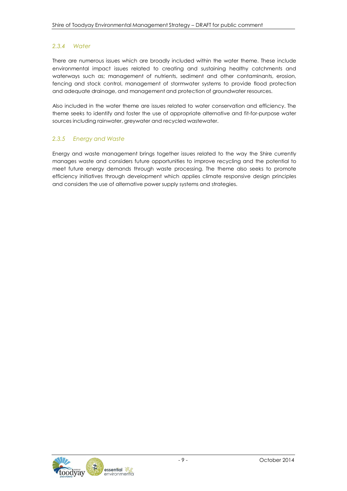#### *2.3.4 Water*

There are numerous issues which are broadly included within the water theme. These include environmental impact issues related to creating and sustaining healthy catchments and waterways such as; management of nutrients, sediment and other contaminants, erosion, fencing and stock control, management of stormwater systems to provide flood protection and adequate drainage, and management and protection of groundwater resources.

Also included in the water theme are issues related to water conservation and efficiency. The theme seeks to identify and foster the use of appropriate alternative and fit-for-purpose water sources including rainwater, greywater and recycled wastewater.

#### *2.3.5 Energy and Waste*

Energy and waste management brings together issues related to the way the Shire currently manages waste and considers future opportunities to improve recycling and the potential to meet future energy demands through waste processing. The theme also seeks to promote efficiency initiatives through development which applies climate responsive design principles and considers the use of alternative power supply systems and strategies.

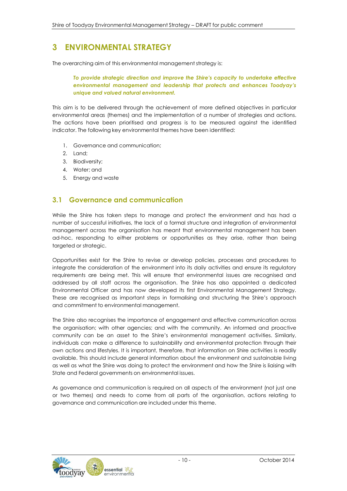# **3 ENVIRONMENTAL STRATEGY**

The overarching aim of this environmental management strategy is:

*To provide strategic direction and improve the Shire's capacity to undertake effective environmental management and leadership that protects and enhances Toodyay's unique and valued natural environment.*

This aim is to be delivered through the achievement of more defined objectives in particular environmental areas (themes) and the implementation of a number of strategies and actions. The actions have been prioritised and progress is to be measured against the identified indicator. The following key environmental themes have been identified:

- 1. Governance and communication;
- 2. Land;
- 3. Biodiversity;
- 4. Water; and
- 5. Energy and waste

## **3.1 Governance and communication**

While the Shire has taken steps to manage and protect the environment and has had a number of successful initiatives, the lack of a formal structure and integration of environmental management across the organisation has meant that environmental management has been ad-hoc, responding to either problems or opportunities as they arise, rather than being targeted or strategic.

Opportunities exist for the Shire to revise or develop policies, processes and procedures to integrate the consideration of the environment into its daily activities and ensure its regulatory requirements are being met. This will ensure that environmental issues are recognised and addressed by all staff across the organisation. The Shire has also appointed a dedicated Environmental Officer and has now developed its first Environmental Management Strategy. These are recognised as important steps in formalising and structuring the Shire's approach and commitment to environmental management.

The Shire also recognises the importance of engagement and effective communication across the organisation; with other agencies; and with the community. An informed and proactive community can be an asset to the Shire's environmental management activities. Similarly, individuals can make a difference to sustainability and environmental protection through their own actions and lifestyles. It is important, therefore, that information on Shire activities is readily available. This should include general information about the environment and sustainable living as well as what the Shire was doing to protect the environment and how the Shire is liaising with State and Federal governments on environmental issues.

As governance and communication is required on all aspects of the environment (not just one or two themes) and needs to come from all parts of the organisation, actions relating to governance and communication are included under this theme.

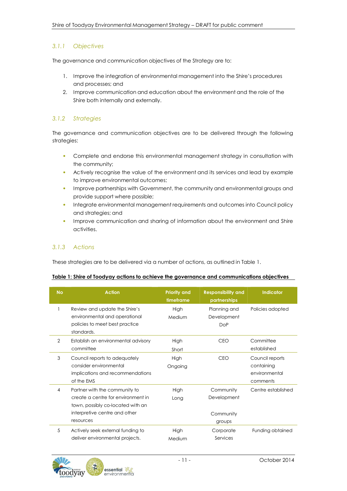#### *3.1.1 Objectives*

The governance and communication objectives of the Strategy are to:

- 1. Improve the integration of environmental management into the Shire's procedures and processes; and
- 2. Improve communication and education about the environment and the role of the Shire both internally and externally.

#### *3.1.2 Strategies*

The governance and communication objectives are to be delivered through the following strategies:

- Complete and endorse this environmental management strategy in consultation with the community;
- Actively recognise the value of the environment and its services and lead by example to improve environmental outcomes;
- Improve partnerships with Government, the community and environmental groups and provide support where possible;
- Integrate environmental management requirements and outcomes into Council policy and strategies; and
- Improve communication and sharing of information about the environment and Shire activities.

#### *3.1.3 Actions*

These strategies are to be delivered via a number of actions, as outlined in Table 1.

#### **Table 1: Shire of Toodyay actions to achieve the governance and communications objectives**

| <b>No</b> | <b>Action</b>                                                                                                                                          | <b>Priority and</b><br>timeframe | <b>Responsibility and</b><br>partnerships       | <b>Indicator</b>                                           |
|-----------|--------------------------------------------------------------------------------------------------------------------------------------------------------|----------------------------------|-------------------------------------------------|------------------------------------------------------------|
|           | Review and update the Shire's<br>environmental and operational<br>policies to meet best practice<br>standards.                                         | High<br>Medium                   | Planning and<br>Development<br><b>DoP</b>       | Policies adopted                                           |
| 2         | Establish an environmental advisory<br>committee                                                                                                       | High<br>Short                    | <b>CEO</b>                                      | Committee<br>established                                   |
| 3         | Council reports to adequately<br>consider environmental<br>implications and recommendations<br>of the EMS                                              | High<br>Ongoing                  | CEO                                             | Council reports<br>containing<br>environmental<br>comments |
| 4         | Partner with the community to<br>create a centre for environment in<br>town, possibly co-located with an<br>interpretive centre and other<br>resources | High<br>Long                     | Community<br>Development<br>Community<br>groups | Centre established                                         |
| 5         | Actively seek external funding to<br>deliver environmental projects.                                                                                   | High<br>Medium                   | Corporate<br>Services                           | Funding obtained                                           |

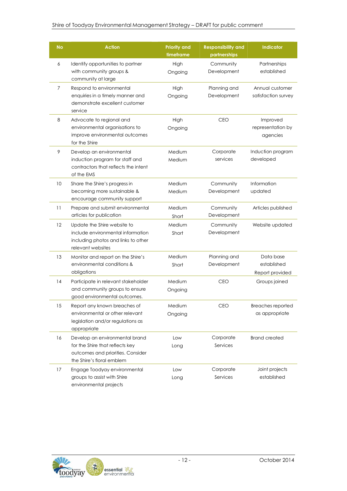#### Shire of Toodyay Environmental Management Strategy – DRAFT for public comment

| <b>No</b> | <b>Action</b>                                                                                                                       | <b>Priority and</b><br>timeframe | <b>Responsibility and</b><br>partnerships | <b>Indicator</b>                            |
|-----------|-------------------------------------------------------------------------------------------------------------------------------------|----------------------------------|-------------------------------------------|---------------------------------------------|
| 6         | Identify opportunities to partner<br>with community groups &<br>community at large                                                  | High<br>Ongoing                  | Community<br>Development                  | Partnerships<br>established                 |
| 7         | Respond to environmental<br>enquiries in a timely manner and<br>demonstrate excellent customer<br>service                           | High<br>Ongoing                  | Planning and<br>Development               | Annual customer<br>satisfaction survey      |
| 8         | Advocate to regional and<br>environmental organisations to<br>improve environmental outcomes<br>for the Shire                       | High<br>Ongoing                  | <b>CEO</b>                                | Improved<br>representation by<br>agencies   |
| 9         | Develop an environmental<br>induction program for staff and<br>contractors that reflects the intent<br>of the EMS                   | Medium<br>Medium                 | Corporate<br>services                     | Induction program<br>developed              |
| 10        | Share the Shire's progress in<br>becoming more sustainable &<br>encourage community support                                         | Medium<br>Medium                 | Community<br>Development                  | Information<br>updated                      |
| 11        | Prepare and submit environmental<br>articles for publication                                                                        | Medium<br>Short                  | Community<br>Development                  | Articles published                          |
| 12        | Update the Shire website to<br>include environmental information<br>including photos and links to other<br>relevant websites        | Medium<br>Short                  | Community<br>Development                  | Website updated                             |
| 13        | Monitor and report on the Shire's<br>environmental conditions &<br>obligations                                                      | Medium<br>Short                  | Planning and<br>Development               | Data base<br>established<br>Report provided |
| 14        | Participate in relevant stakeholder<br>and community groups to ensure<br>good environmental outcomes.                               | Medium<br>Ongoing                | <b>CEO</b>                                | Groups joined                               |
| 15        | Report any known breaches of<br>environmental or other relevant<br>legislation and/or regulations as<br>appropriate                 | Medium<br>Ongoing                | CEO                                       | Breaches reported<br>as appropriate         |
| 16        | Develop an environmental brand<br>for the Shire that reflects key<br>outcomes and priorities. Consider<br>the Shire's floral emblem | Low<br>Long                      | Corporate<br>Services                     | <b>Brand created</b>                        |
| 17        | Engage Toodyay environmental<br>groups to assist with Shire<br>environmental projects                                               | Low<br>Long                      | Corporate<br>Services                     | Joint projects<br>established               |

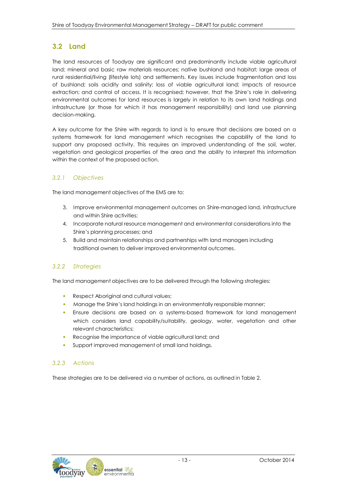# **3.2 Land**

The land resources of Toodyay are significant and predominantly include viable agricultural land; mineral and basic raw materials resources; native bushland and habitat; large areas of rural residential/living (lifestyle lots) and settlements. Key issues include fragmentation and loss of bushland; soils acidity and salinity; loss of viable agricultural land; impacts of resource extraction; and control of access. It is recognised; however, that the Shire's role in delivering environmental outcomes for land resources is largely in relation to its own land holdings and infrastructure (or those for which it has management responsibility) and land use planning decision-making.

A key outcome for the Shire with regards to land is to ensure that decisions are based on a systems framework for land management which recognises the capability of the land to support any proposed activity. This requires an improved understanding of the soil, water, vegetation and geological properties of the area and the ability to interpret this information within the context of the proposed action.

## *3.2.1 Objectives*

The land management objectives of the EMS are to:

- 3. Improve environmental management outcomes on Shire-managed land, infrastructure and within Shire activities;
- 4. Incorporate natural resource management and environmental considerations into the Shire's planning processes; and
- 5. Build and maintain relationships and partnerships with land managers including traditional owners to deliver improved environmental outcomes.

#### *3.2.2 Strategies*

The land management objectives are to be delivered through the following strategies:

- Respect Aboriginal and cultural values;
- Manage the Shire's land holdings in an environmentally responsible manner;
- Ensure decisions are based on a systems-based framework for land management which considers land capability/suitability, geology, water, vegetation and other relevant characteristics;
- Recognise the importance of viable agricultural land; and
- Support improved management of small land holdings.

#### *3.2.3 Actions*

These strategies are to be delivered via a number of actions, as outlined in Table 2.

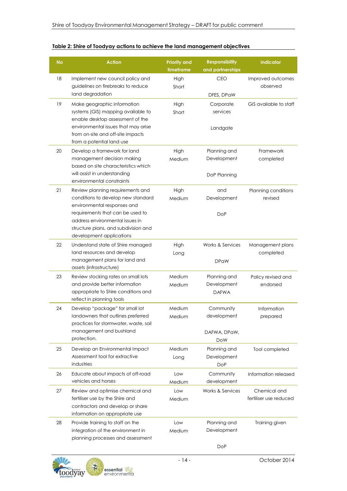| <b>No</b> | <b>Action</b>                                                                                                                                                                                                                                    | <b>Priority and</b><br>timeframe | <b>Responsibility</b><br>and partnerships              | Indicator                              |
|-----------|--------------------------------------------------------------------------------------------------------------------------------------------------------------------------------------------------------------------------------------------------|----------------------------------|--------------------------------------------------------|----------------------------------------|
| 18        | Implement new council policy and<br>guidelines on firebreaks to reduce<br>land degradation                                                                                                                                                       | High<br>Short                    | CEO<br>DFES, DPaW                                      | Improved outcomes<br>observed          |
| 19        | Make geographic information<br>systems (GIS) mapping available to<br>enable desktop assessment of the<br>environmental issues that may arise<br>from on-site and off-site impacts<br>from a potential land use                                   | High<br>Short                    | Corporate<br>services<br>Landgate                      | GIS available to staff                 |
| 20        | Develop a framework for land<br>management decision making<br>based on site characteristics which<br>will assist in understanding<br>environmental constraints                                                                                   | High<br>Medium                   | Planning and<br>Development<br>DoP Planning            | Framework<br>completed                 |
| 21        | Review planning requirements and<br>conditions to develop new standard<br>environmental responses and<br>requirements that can be used to<br>address environmental issues in<br>structure plans, and subdivision and<br>development applications | High<br>Medium                   | and<br>Development<br><b>DoP</b>                       | Planning conditions<br>revised         |
| 22        | Understand state of Shire managed<br>land resources and develop<br>management plans for land and<br>assets (infrastructure)                                                                                                                      | High<br>Long                     | <b>Works &amp; Services</b><br><b>DPaW</b>             | Management plans<br>completed          |
| 23        | Review stocking rates on small lots<br>and provide better information<br>appropriate to Shire conditions and<br>reflect in planning tools                                                                                                        | Medium<br>Medium                 | Planning and<br>Development<br><b>DAFWA</b>            | Policy revised and<br>endorsed         |
| 24        | Develop "package" for small lot<br>landowners that outlines preferred<br>practices for stormwater, waste, soil<br>management and bushland<br>protection.                                                                                         | Medium<br>Medium                 | Community<br>development<br>DAFWA, DPaW,<br><b>DoW</b> | Information<br>prepared                |
| 25        | Develop an Environmental Impact<br>Assessment tool for extractive<br>industries                                                                                                                                                                  | Medium<br>Long                   | Planning and<br>Development<br>DoP                     | Tool completed                         |
| 26        | Educate about impacts of off-road<br>vehicles and horses                                                                                                                                                                                         | Low<br>Medium                    | Community<br>development                               | Information released                   |
| 27        | Review and optimise chemical and<br>fertiliser use by the Shire and<br>contractors and develop or share<br>information on appropriate use                                                                                                        | Low<br>Medium                    | Works & Services                                       | Chemical and<br>fertiliser use reduced |
| 28        | Provide training to staff on the<br>integration of the environment in<br>planning processes and assessment                                                                                                                                       | Low<br>Medium                    | Planning and<br>Development                            | Training given                         |

#### **Table 2: Shire of Toodyay actions to achieve the land management objectives**



DoP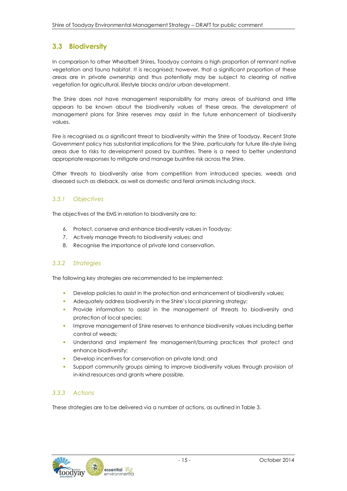# **3.3 Biodiversity**

In comparison to other Wheatbelt Shires, Toodyay contains a high proportion of remnant native vegetation and fauna habitat. It is recognised; however, that a significant proportion of these areas are in private ownership and thus potentially may be subject to clearing of native vegetation for agricultural, lifestyle blocks and/or urban development.

The Shire does not have management responsibility for many areas of bushland and little appears to be known about the biodiversity values of these areas. The development of management plans for Shire reserves may assist in the future enhancement of biodiversity values.

Fire is recognised as a significant threat to biodiversity within the Shire of Toodyay. Recent State Government policy has substantial implications for the Shire, particularly for future life-style living areas due to risks to development posed by bushfires. There is a need to better understand appropriate responses to mitigate and manage bushfire risk across the Shire.

Other threats to biodiversity arise from competition from introduced species, weeds and diseased such as dieback, as well as domestic and feral animals including stock.

#### *3.3.1 Objectives*

The objectives of the EMS in relation to biodiversity are to:

- 6. Protect, conserve and enhance biodiversity values in Toodyay;
- 7. Actively manage threats to biodiversity values; and
- 8. Recognise the importance of private land conservation.

#### *3.3.2 Strategies*

The following key strategies are recommended to be implemented:

- Develop policies to assist in the protection and enhancement of biodiversity values;
- Adequately address biodiversity in the Shire's local planning strategy;
- Provide information to assist in the management of threats to biodiversity and protection of local species;
- Improve management of Shire reserves to enhance biodiversity values including better control of weeds;
- Understand and implement fire management/burning practices that protect and enhance biodiversity;
- Develop incentives for conservation on private land; and
- Support community groups aiming to improve biodiversity values through provision of in-kind resources and grants where possible.

#### *3.3.3 Actions*

These strategies are to be delivered via a number of actions, as outlined in Table 3.

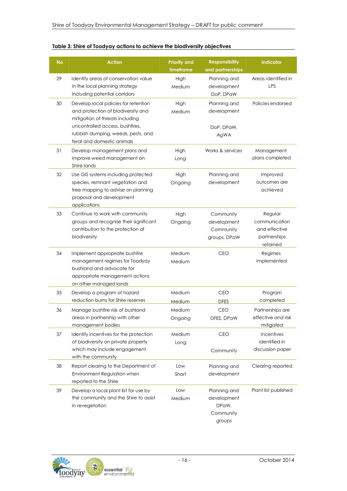| <b>No</b> | <b>Action</b>                                                                                                                                                                                                        | <b>Priority and</b><br>timeframe | <b>Responsibility</b><br>and partnerships                   | <b>Indicator</b>                                                      |
|-----------|----------------------------------------------------------------------------------------------------------------------------------------------------------------------------------------------------------------------|----------------------------------|-------------------------------------------------------------|-----------------------------------------------------------------------|
| 29        | Identify areas of conservation value<br>in the local planning strategy<br>including potential corridors                                                                                                              | High<br>Medium                   | Planning and<br>development<br>DoP, DPaW                    | Areas identified in<br>LPS                                            |
| 30        | Develop local policies for retention<br>and protection of biodiversity and<br>mitigation of threats including<br>uncontrolled access, bushfires,<br>rubbish dumping, weeds, pests, and<br>feral and domestic animals | High<br>Medium                   | Planning and<br>development<br>DoP, DPaW,<br>AgWA           | Policies endorsed                                                     |
| 31        | Develop management plans and<br>improve weed management on<br>Shire lands                                                                                                                                            | High<br>Long                     | Works & services                                            | Management<br>plans completed                                         |
| 32        | Use GIS systems including protected<br>species, remnant vegetation and<br>tree mapping to advise on planning<br>proposal and development<br>applications                                                             | High<br>Ongoing                  | Planning and<br>development                                 | Improved<br>outcomes are<br>achieved                                  |
| 33        | Continue to work with community<br>groups and recognise their significant<br>contribution to the protection of<br>biodiversity                                                                                       | High<br>Ongoing                  | Community<br>development<br>Community<br>groups, DPaW       | Regular<br>communication<br>and effective<br>partnerships<br>retained |
| 34        | Implement appropriate bushfire<br>management regimes for Toodyay<br>bushland and advocate for<br>appropriate management actions<br>on other managed lands                                                            | Medium<br>Medium                 | <b>CEO</b>                                                  | Regimes<br>implemented                                                |
| 35        | Develop a program of hazard<br>reduction burns for Shire reserves                                                                                                                                                    | Medium<br>Medium                 | <b>CEO</b><br><b>DFES</b>                                   | Program<br>completed                                                  |
| 36        | Manage bushfire risk of bushland<br>areas in partnership with other<br>management bodies                                                                                                                             | Medium<br>Ongoing                | <b>CEO</b><br>DFES, DPaW                                    | Partnerships are<br>effective and risk<br>mitigated                   |
| 37        | Identify incentives for the protection<br>of biodiversity on private property<br>which may include engagement<br>with the community                                                                                  | Medium<br>Long                   | CEO<br>Community                                            | Incentives<br>identified in<br>discussion paper                       |
| 38        | Report clearing to the Department of<br>Environment Regulation when<br>reported to the Shire                                                                                                                         | Low<br>Short                     | Planning and<br>development                                 | Clearing reported                                                     |
| 39        | Develop a local plant list for use by<br>the community and the Shire to assist<br>in revegetation                                                                                                                    | Low<br>Medium                    | Planning and<br>development<br>DPaW,<br>Community<br>groups | Plant list published                                                  |

#### **Table 3: Shire of Toodyay actions to achieve the biodiversity objectives**

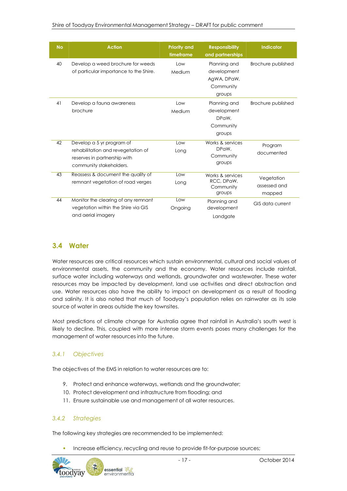| <b>No</b> | <b>Action</b>                                                                                                              | <b>Priority and</b><br>timeframe | <b>Responsibility</b><br>and partnerships                         | <b>Indicator</b>                     |
|-----------|----------------------------------------------------------------------------------------------------------------------------|----------------------------------|-------------------------------------------------------------------|--------------------------------------|
| 40        | Develop a weed brochure for weeds<br>of particular importance to the Shire.                                                | Low<br>Medium                    | Planning and<br>development<br>AgWA, DPaW,<br>Community<br>groups | Brochure published                   |
| 41        | Develop a fauna awareness<br>brochure                                                                                      | Low<br>Medium                    | Planning and<br>development<br>DPaW,<br>Community<br>groups       | Brochure published                   |
| 42        | Develop a 5 yr program of<br>rehabilitation and revegetation of<br>reserves in partnership with<br>community stakeholders. | Low<br>Long                      | Works & services<br>DPaW,<br>Community<br>groups                  | Program<br>documented                |
| 43        | Reassess & document the quality of<br>remnant vegetation of road verges                                                    | Low<br>Long                      | Works & services<br>RCC, DPaW,<br>Community<br>groups             | Vegetation<br>assessed and<br>mapped |
| 44        | Monitor the clearing of any remnant<br>vegetation within the Shire via GIS<br>and aerial imagery                           | Low<br>Ongoing                   | Planning and<br>development<br>Landgate                           | <b>GIS data current</b>              |

# **3.4 Water**

Water resources are critical resources which sustain environmental, cultural and social values of environmental assets, the community and the economy. Water resources include rainfall, surface water including waterways and wetlands, groundwater and wastewater. These water resources may be impacted by development, land use activities and direct abstraction and use. Water resources also have the ability to impact on development as a result of flooding and salinity. It is also noted that much of Toodyay's population relies on rainwater as its sole source of water in areas outside the key townsites.

Most predictions of climate change for Australia agree that rainfall in Australia's south west is likely to decline. This, coupled with more intense storm events poses many challenges for the management of water resources into the future.

#### *3.4.1 Objectives*

The objectives of the EMS in relation to water resources are to:

- 9. Protect and enhance waterways, wetlands and the groundwater;
- 10. Protect development and infrastructure from flooding; and
- 11. Ensure sustainable use and management of all water resources.

#### *3.4.2 Strategies*

The following key strategies are recommended to be implemented:

• Increase efficiency, recycling and reuse to provide fit-for-purpose sources;

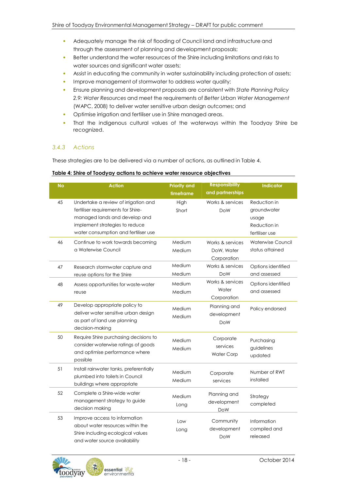- Adequately manage the risk of flooding of Council land and infrastructure and through the assessment of planning and development proposals;
- Better understand the water resources of the Shire including limitations and risks to water sources and significant water assets;
- Assist in educating the community in water sustainability including protection of assets;
- Improve management of stormwater to address water quality;
- Ensure planning and development proposals are consistent with *State Planning Policy 2.9: Water Resources* and meet the requirements of *Better Urban Water Management* (WAPC, 2008) to deliver water sensitive urban design outcomes; and
- Optimise irrigation and fertiliser use in Shire managed areas.
- That the indigenous cultural values of the waterways within the Toodyay Shire be recognized.

#### *3.4.3 Actions*

These strategies are to be delivered via a number of actions, as outlined in Table 4.

#### **Table 4: Shire of Toodyay actions to achieve water resource objectives**

| <b>No</b> | <b>Action</b>                                                                                                                                                                         | <b>Priority and</b><br>timeframe | <b>Responsibility</b><br>and partnerships     | <b>Indicator</b>                                                       |
|-----------|---------------------------------------------------------------------------------------------------------------------------------------------------------------------------------------|----------------------------------|-----------------------------------------------|------------------------------------------------------------------------|
| 45        | Undertake a review of irrigation and<br>fertiliser requirements for Shire-<br>managed lands and develop and<br>implement strategies to reduce<br>water consumption and fertiliser use | High<br>Short                    | Works & services<br><b>DoW</b>                | Reduction in<br>groundwater<br>usage<br>Reduction in<br>fertiliser use |
| 46        | Continue to work towards becoming<br>a Waterwise Council                                                                                                                              | Medium<br>Medium                 | Works & services<br>DoW, Water<br>Corporation | <b>Waterwise Council</b><br>status attained                            |
| 47        | Research stormwater capture and<br>reuse options for the Shire                                                                                                                        | Medium<br>Medium                 | Works & services<br><b>DoW</b>                | Options identified<br>and assessed                                     |
| 48        | Assess opportunities for waste-water<br>reuse                                                                                                                                         | Medium<br>Medium                 | Works & services<br>Water<br>Corporation      | Options identified<br>and assessed                                     |
| 49        | Develop appropriate policy to<br>deliver water sensitive urban design<br>as part of land use planning<br>decision-making                                                              | Medium<br>Medium                 | Planning and<br>development<br><b>DoW</b>     | Policy endorsed                                                        |
| 50        | Require Shire purchasing decisions to<br>consider waterwise ratings of goods<br>and optimise performance where<br>possible                                                            | Medium<br>Medium                 | Corporate<br>services<br><b>Water Corp</b>    | Purchasing<br>guidelines<br>updated                                    |
| 51        | Install rainwater tanks, preferentially<br>plumbed into toilets in Council<br>buildings where appropriate                                                                             | Medium<br>Medium                 | Corporate<br>services                         | Number of RWT<br>installed                                             |
| 52        | Complete a Shire-wide water<br>management strategy to guide<br>decision making                                                                                                        | Medium<br>Long                   | Planning and<br>development<br><b>DoW</b>     | Strategy<br>completed                                                  |
| 53        | Improve access to information<br>about water resources within the<br>Shire including ecological values<br>and water source availability                                               | Low<br>Long                      | Community<br>development<br><b>DoW</b>        | Information<br>compiled and<br>released                                |

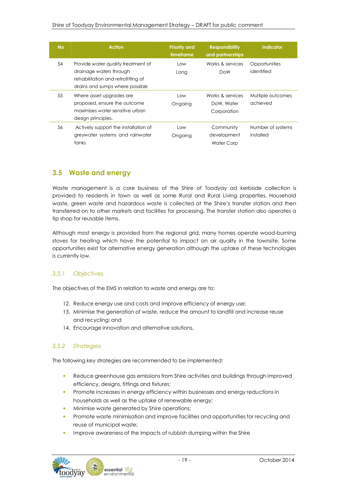| <b>No</b> | <b>Action</b>                                                                                                                          | <b>Priority and</b><br>timeframe | <b>Responsibility</b><br>and partnerships     | Indicator                      |
|-----------|----------------------------------------------------------------------------------------------------------------------------------------|----------------------------------|-----------------------------------------------|--------------------------------|
| 54        | Provide water quality treatment of<br>drainage waters through<br>rehabilitation and retrofitting of<br>drains and sumps where possible | Low<br>Long                      | Works & services<br>DoW                       | Opportunities<br>identified    |
| 55        | Where asset upgrades are<br>proposed, ensure the outcome<br>maximises water sensitive urban<br>design principles.                      | Low<br>Ongoing                   | Works & services<br>DoW, Water<br>Corporation | Multiple outcomes<br>achieved  |
| 56        | Actively support the installation of<br>greywater systems and rainwater<br>tanks                                                       | Low<br>Ongoing                   | Community<br>development<br>Water Corp        | Number of systems<br>installed |

# **3.5 Waste and energy**

Waste management is a core business of the Shire of Toodyay ad kerbside collection is provided to residents in town as well as some Rural and Rural Living properties. Household waste, green waste and hazardous waste is collected at the Shire's transfer station and then transferred on to other markets and facilities for processing. The transfer station also operates a tip shop for reusable items.

Although most energy is provided from the regional grid, many homes operate wood-burning stoves for heating which have the potential to impact on air quality in the townsite. Some opportunities exist for alternative energy generation although the uptake of these technologies is currently low.

#### *3.5.1 Objectives*

The objectives of the EMS in relation to waste and energy are to:

- 12. Reduce energy use and costs and improve efficiency of energy use;
- 13. Minimise the generation of waste, reduce the amount to landfill and increase reuse and recycling; and
- 14. Encourage innovation and alternative solutions.

#### *3.5.2 Strategies*

The following key strategies are recommended to be implemented:

- Reduce greenhouse gas emissions from Shire activities and buildings through improved efficiency, designs, fittings and fixtures;
- Promote increases in energy efficiency within businesses and energy reductions in households as well as the uptake of renewable energy;
- Minimise waste generated by Shire operations;
- Promote waste minimisation and improve facilities and opportunities for recycling and reuse of municipal waste;
- Improve awareness of the impacts of rubbish dumping within the Shire

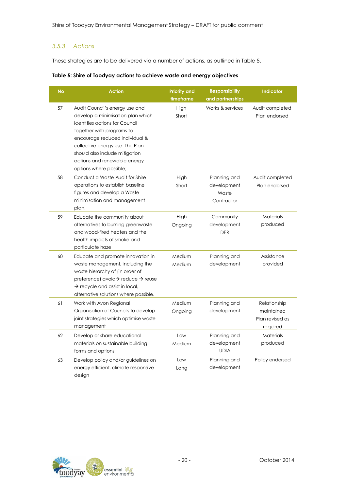#### *3.5.3 Actions*

These strategies are to be delivered via a number of actions, as outlined in Table 5.

| Table 5: Shire of Toodyay actions to achieve waste and energy objectives |
|--------------------------------------------------------------------------|
|--------------------------------------------------------------------------|

| <b>No</b> | <b>Action</b>                                                                                                                                                                                                                                                                                        | <b>Priority and</b><br>timeframe | <b>Responsibility</b><br>and partnerships          | <b>Indicator</b>                                          |
|-----------|------------------------------------------------------------------------------------------------------------------------------------------------------------------------------------------------------------------------------------------------------------------------------------------------------|----------------------------------|----------------------------------------------------|-----------------------------------------------------------|
| 57        | Audit Council's energy use and<br>develop a minimisation plan which<br>identifies actions for Council<br>together with programs to<br>encourage reduced individual &<br>collective energy use. The Plan<br>should also include mitigation<br>actions and renewable energy<br>options where possible; | High<br>Short                    | Works & services                                   | Audit completed<br>Plan endorsed                          |
| 58        | Conduct a Waste Audit for Shire<br>operations to establish baseline<br>figures and develop a Waste<br>minimisation and management<br>plan.                                                                                                                                                           | High<br>Short                    | Planning and<br>development<br>Waste<br>Contractor | Audit completed<br>Plan endorsed                          |
| 59        | Educate the community about<br>alternatives to burning greenwaste<br>and wood-fired heaters and the<br>health impacts of smoke and<br>particulate haze                                                                                                                                               | High<br>Ongoing                  | Community<br>development<br><b>DER</b>             | Materials<br>produced                                     |
| 60        | Educate and promote innovation in<br>waste management, including the<br>waste hierarchy of (in order of<br>preference) avoid→ reduce → reuse<br>$\rightarrow$ recycle and assist in local,<br>alternative solutions where possible.                                                                  | Medium<br>Medium                 | Planning and<br>development                        | Assistance<br>provided                                    |
| 61        | Work with Avon Regional<br>Organisation of Councils to develop<br>joint strategies which optimise waste<br>management                                                                                                                                                                                | Medium<br>Ongoing                | Planning and<br>development                        | Relationship<br>maintained<br>Plan revised as<br>required |
| 62        | Develop or share educational<br>materials on sustainable building<br>forms and options.                                                                                                                                                                                                              | Low<br>Medium                    | Planning and<br>development<br><b>UDIA</b>         | <b>Materials</b><br>produced                              |
| 63        | Develop policy and/or guidelines on<br>energy efficient, climate responsive<br>design                                                                                                                                                                                                                | Low<br>Long                      | Planning and<br>development                        | Policy endorsed                                           |

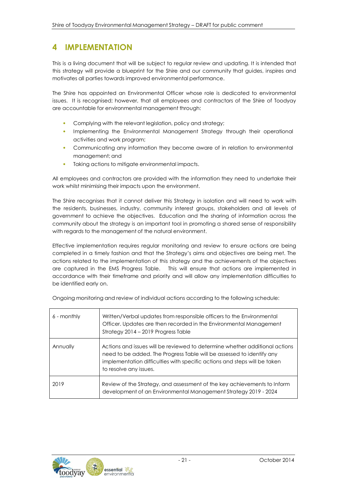# **4 IMPLEMENTATION**

This is a living document that will be subject to regular review and updating. It is intended that this strategy will provide a blueprint for the Shire and our community that guides, inspires and motivates all parties towards improved environmental performance.

The Shire has appointed an Environmental Officer whose role is dedicated to environmental issues. It is recognised; however, that all employees and contractors of the Shire of Toodyay are accountable for environmental management through:

- Complying with the relevant legislation, policy and strategy;
- Implementing the Environmental Management Strategy through their operational activities and work program;
- Communicating any information they become aware of in relation to environmental management; and
- Taking actions to mitigate environmental impacts.

All employees and contractors are provided with the information they need to undertake their work whilst minimising their impacts upon the environment.

The Shire recognises that it cannot deliver this Strategy in isolation and will need to work with the residents, businesses, industry, community interest groups, stakeholders and all levels of government to achieve the objectives. Education and the sharing of information across the community about the strategy is an important tool in promoting a shared sense of responsibility with regards to the management of the natural environment.

Effective implementation requires regular monitoring and review to ensure actions are being completed in a timely fashion and that the Strategy's aims and objectives are being met. The actions related to the implementation of this strategy and the achievements of the objectives are captured in the EMS Progress Table. This will ensure that actions are implemented in accordance with their timeframe and priority and will allow any implementation difficulties to be identified early on.

| 6 - monthly | Written/Verbal updates from responsible officers to the Environmental<br>Officer. Updates are then recorded in the Environmental Management<br>Strategy 2014 - 2019 Progress Table                                                                          |
|-------------|-------------------------------------------------------------------------------------------------------------------------------------------------------------------------------------------------------------------------------------------------------------|
| Annually    | Actions and issues will be reviewed to determine whether additional actions<br>need to be added. The Progress Table will be assessed to identify any<br>implementation difficulties with specific actions and steps will be taken<br>to resolve any issues. |
| 2019        | Review of the Strategy, and assessment of the key achievements to Inform<br>development of an Environmental Management Strategy 2019 - 2024                                                                                                                 |

Ongoing monitoring and review of individual actions according to the following schedule:

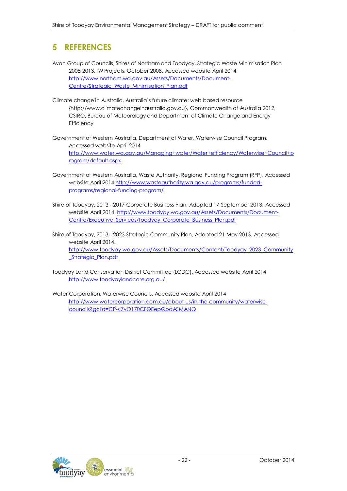# **5 REFERENCES**

- Avon Group of Councils, Shires of Northam and Toodyay, Strategic Waste Minimisation Plan 2008-2013, IW Projects, October 2008. Accessed website April 2014 [http://www.northam.wa.gov.au/Assets/Documents/Document-](http://www.northam.wa.gov.au/Assets/Documents/Document-Centre/Strategic_Waste_Minimisation_Plan.pdf)[Centre/Strategic\\_Waste\\_Minimisation\\_Plan.pdf](http://www.northam.wa.gov.au/Assets/Documents/Document-Centre/Strategic_Waste_Minimisation_Plan.pdf)
- Climate change in Australia, Australia's future climate: web based resource [{http://www.climatechangeinaustralia.gov.au}](http://www.climatechangeinaustralia.gov.au/), Commonwealth of Australia 2012, CSIRO, Bureau of Meteorology and Department of Climate Change and Energy **Efficiency**
- Government of Western Australia, Department of Water, Waterwise Council Program. Accessed website April 2014 [http://www.water.wa.gov.au/Managing+water/Water+efficiency/Waterwise+Council+p](http://www.water.wa.gov.au/Managing%2Bwater/Water%2Befficiency/Waterwise%2BCouncil%2Bprogram/default.aspx) [rogram/default.aspx](http://www.water.wa.gov.au/Managing%2Bwater/Water%2Befficiency/Waterwise%2BCouncil%2Bprogram/default.aspx)
- Government of Western Australia, Waste Authority, Regional Funding Program (RFP). Accessed website April 2014 [http://www.wasteauthority.wa.gov.au/programs/funded](http://www.wasteauthority.wa.gov.au/programs/funded-programs/regional-funding-program/)[programs/regional-funding-program/](http://www.wasteauthority.wa.gov.au/programs/funded-programs/regional-funding-program/)
- Shire of Toodyay, 2013 2017 Corporate Business Plan, Adopted 17 September 2013. Accessed website April 2014. [http://www.toodyay.wa.gov.au/Assets/Documents/Document-](http://www.toodyay.wa.gov.au/Assets/Documents/Document-Centre/Executive_Services/Toodyay_Corporate_Business_Plan.pdf)[Centre/Executive\\_Services/Toodyay\\_Corporate\\_Business\\_Plan.pdf](http://www.toodyay.wa.gov.au/Assets/Documents/Document-Centre/Executive_Services/Toodyay_Corporate_Business_Plan.pdf)
- Shire of Toodyay, 2013 2023 Strategic Community Plan, Adopted 21 May 2013. Accessed website April 2014. [http://www.toodyay.wa.gov.au/Assets/Documents/Content/Toodyay\\_2023\\_Community](http://www.toodyay.wa.gov.au/Assets/Documents/Content/Toodyay_2023_Community_Strategic_Plan.pdf) [\\_Strategic\\_Plan.pdf](http://www.toodyay.wa.gov.au/Assets/Documents/Content/Toodyay_2023_Community_Strategic_Plan.pdf)
- Toodyay Land Conservation District Committee (LCDC). Accessed website April 2014 <http://www.toodyaylandcare.org.au/>
- Water Corporation, Waterwise Councils. Accessed website April 2014 [http://www.watercorporation.com.au/about-us/in-the-community/waterwise](http://www.watercorporation.com.au/about-us/in-the-community/waterwise-councils?gclid=CP-si7vO170CFQEepQodASMANQ)[councils?gclid=CP-si7vO170CFQEepQodASMANQ](http://www.watercorporation.com.au/about-us/in-the-community/waterwise-councils?gclid=CP-si7vO170CFQEepQodASMANQ)

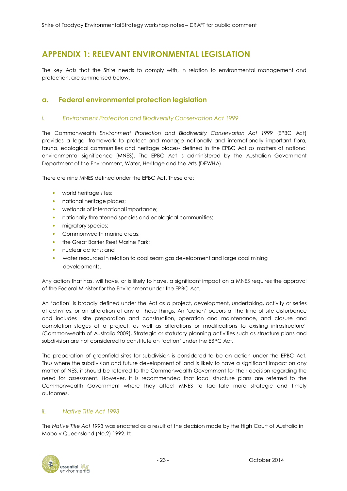# **APPENDIX 1: RELEVANT ENVIRONMENTAL LEGISLATION**

The key Acts that the Shire needs to comply with, in relation to environmental management and protection, are summarised below.

## **a. Federal environmental protection legislation**

#### *i. Environment Protection and Biodiversity Conservation Act 1999*

The Commonwealth *Environment Protection and Biodiversity Conservation Act 1999* (EPBC Act) provides a legal framework to protect and manage nationally and internationally important flora, fauna, ecological communities and heritage places- defined in the EPBC Act as matters of national environmental significance (MNES). The EPBC Act is administered by the Australian Government Department of the Environment, Water, Heritage and the Arts (DEWHA).

There are nine MNES defined under the EPBC Act. These are:

- world heritage sites;
- national heritage places;
- wetlands of international importance;
- nationally threatened species and ecological communities;
- migratory species;
- Commonwealth marine areas;
- the Great Barrier Reef Marine Park:
- nuclear actions; and
- water resources in relation to coal seam gas development and large coal mining developments.

Any action that has, will have, or is likely to have, a significant impact on a MNES requires the approval of the Federal Minister for the Environment under the EPBC Act.

An 'action' is broadly defined under the Act as a project, development, undertaking, activity or series of activities, or an alteration of any of these things. An 'action' occurs at the time of site disturbance and includes "site preparation and construction, operation and maintenance, and closure and completion stages of a project, as well as alterations or modifications to existing infrastructure" (Commonwealth of Australia 2009). Strategic or statutory planning activities such as structure plans and subdivision are not considered to constitute an 'action' under the EBPC Act.

The preparation of greenfield sites for subdivision is considered to be an action under the EPBC Act. Thus where the subdivision and future development of land is likely to have a significant impact on any matter of NES, it should be referred to the Commonwealth Government for their decision regarding the need for assessment. However, it is recommended that local structure plans are referred to the Commonwealth Government where they affect MNES to facilitate more strategic and timely outcomes.

#### *ii. Native Title Act 1993*

The *Native Title Act 1993* was enacted as a result of the decision made by the High Court of Australia in Mabo v Queensland (No.2) 1992. It:

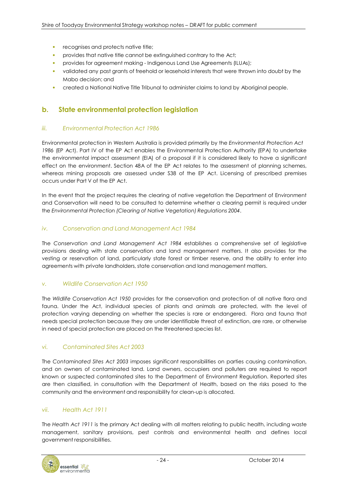- recognises and protects native title;
- provides that native title cannot be extinguished contrary to the Act;
- provides for agreement making Indigenous Land Use Agreements (ILUAs);
- validated any past grants of freehold or leasehold interests that were thrown into doubt by the Mabo decision; and
- created a National Native Title Tribunal to administer claims to land by Aboriginal people.

### **b. State environmental protection legislation**

#### *iii. Environmental Protection Act 1986*

Environmental protection in Western Australia is provided primarily by the *Environmental Protection Act 1986* (EP Act). Part IV of the EP Act enables the Environmental Protection Authority (EPA) to undertake the environmental impact assessment (EIA) of a proposal if it is considered likely to have a significant effect on the environment. Section 48A of the EP Act relates to the assessment of planning schemes, whereas mining proposals are assessed under S38 of the EP Act. Licensing of prescribed premises occurs under Part V of the EP Act.

In the event that the project requires the clearing of native vegetation the Department of Environment and Conservation will need to be consulted to determine whether a clearing permit is required under the *Environmental Protection (Clearing of Native Vegetation) Regulations 2004*.

#### *iv. Conservation and Land Management Act 1984*

The *Conservation and Land Management Act 1984* establishes a comprehensive set of legislative provisions dealing with state conservation and land management matters. It also provides for the vesting or reservation of land, particularly state forest or timber reserve, and the ability to enter into agreements with private landholders, state conservation and land management matters.

#### *v. Wildlife Conservation Act 1950*

The *Wildlife Conservation Act 1950* provides for the conservation and protection of all native flora and fauna. Under the Act, individual species of plants and animals are protected, with the level of protection varying depending on whether the species is rare or endangered. Flora and fauna that needs special protection because they are under identifiable threat of extinction, are rare, or otherwise in need of special protection are placed on the threatened species list.

#### *vi. Contaminated Sites Act 2003*

The *Contaminated Sites Act 2003* imposes significant responsibilities on parties causing contamination, and on owners of contaminated land. Land owners, occupiers and polluters are required to report known or suspected contaminated sites to the Department of Environment Regulation. Reported sites are then classified, in consultation with the Department of Health, based on the risks posed to the community and the environment and responsibility for clean-up is allocated.

#### *vii. Health Act 1911*

The *Health Act 1911* is the primary Act dealing with all matters relating to public health, including waste management, sanitary provisions, pest controls and environmental health and defines local government responsibilities.

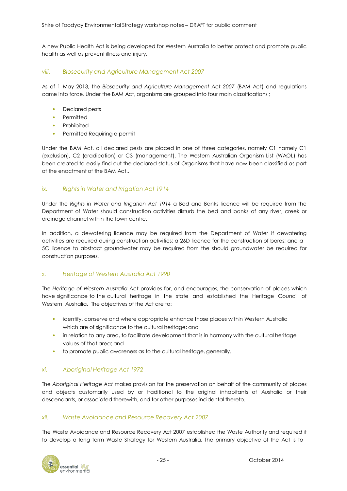A new Public Health Act is being developed for Western Australia to better protect and promote public health as well as prevent illness and injury.

#### *viii. Biosecurity and Agriculture Management Act 2007*

As of 1 May 2013, the *Biosecurity and Agriculture Management Act 2007* (BAM Act) and regulations came into force. Under the BAM Act, organisms are grouped into four main classifications ;

- Declared pests
- Permitted
- Prohibited
- Permitted Requiring a permit

Under the BAM Act, all declared pests are placed in one of three categories, namely C1 namely C1 (exclusion), C2 (eradication) or C3 (management). The Western Australian Organism List (WAOL) has been created to easily find out the declared status of Organisms that have now been classified as part of the enactment of the BAM Act..

#### *ix. Rights in Water and Irrigation Act 1914*

Under the *Rights in Water and Irrigation Act 1914* a Bed and Banks licence will be required from the Department of Water should construction activities disturb the bed and banks of any river, creek or drainage channel within the town centre.

In addition, a dewatering licence may be required from the Department of Water if dewatering activities are required during construction activities; a 26D licence for the construction of bores; and a 5C licence to abstract groundwater may be required from the should groundwater be required for construction purposes.

#### *x. Heritage of Western Australia Act 1990*

The *Heritage of Western Australia Act* provides for, and encourages, the conservation of places which have significance to the cultural heritage in the state and established the Heritage Council of Western Australia. The objectives of the Act are to:

- identify, conserve and where appropriate enhance those places within Western Australia which are of significance to the cultural heritage; and
- in relation to any area, to facilitate development that is in harmony with the cultural heritage values of that area; and
- to promote public awareness as to the cultural heritage, generally.

#### *xi. Aboriginal Heritage Act 1972*

The *Aboriginal Heritage Act* makes provision for the preservation on behalf of the community of places and objects customarily used by or traditional to the original inhabitants of Australia or their descendants, or associated therewith, and for other purposes incidental thereto.

#### *xii. Waste Avoidance and Resource Recovery Act 2007*

The Waste Avoidance and Resource Recovery Act 2007 established the Waste Authority and required it to develop a long term Waste Strategy for Western Australia. The primary objective of the Act is to

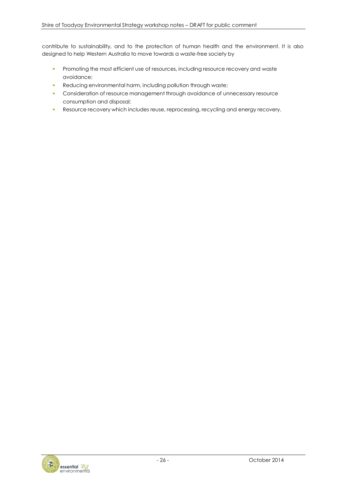contribute to sustainability, and to the protection of human health and the environment. It is also designed to help Western Australia to move towards a waste-free society by

- Promoting the most efficient use of resources, including resource recovery and waste avoidance;
- Reducing environmental harm, including pollution through waste;
- Consideration of resource management through avoidance of unnecessary resource consumption and disposal;
- Resource recovery which includes reuse, reprocessing, recycling and energy recovery.

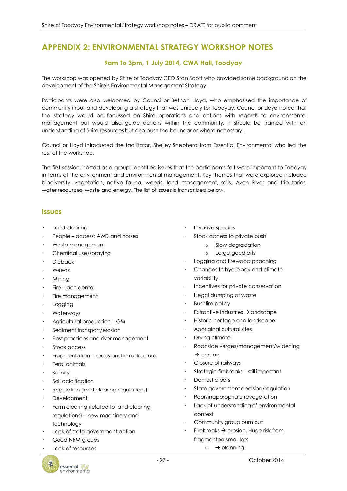# **APPENDIX 2: ENVIRONMENTAL STRATEGY WORKSHOP NOTES**

## **9am To 3pm, 1 July 2014, CWA Hall, Toodyay**

The workshop was opened by Shire of Toodyay CEO Stan Scott who provided some background on the development of the Shire's Environmental Management Strategy.

Participants were also welcomed by Councillor Bethan Lloyd, who emphasised the importance of community input and developing a strategy that was uniquely for Toodyay. Councillor Lloyd noted that the strategy would be focussed on Shire operations and actions with regards to environmental management but would also guide actions within the community. It should be framed with an understanding of Shire resources but also push the boundaries where necessary.

Councillor Lloyd introduced the facilitator, Shelley Shepherd from Essential Environmental who led the rest of the workshop.

The first session, hosted as a group, identified issues that the participants felt were important to Toodyay in terms of the environment and environmental management. Key themes that were explored included biodiversity, vegetation, native fauna, weeds, land management, soils, Avon River and tributaries, water resources, waste and energy. The list of issues is transcribed below.

#### **Issues**

- Land clearing
- People access: AWD and horses
- Waste management
- Chemical use/spraying
- Dieback
- Weeds
- Mining
- Fire accidental
- Fire management
- Logging
- Waterways
- Agricultural production GM
- Sediment transport/erosion
- Past practices and river management
- Stock access
- Fragmentation roads and infrastructure
- Feral animals
- **Salinity**
- Soil acidification
- Regulation (land clearing regulations)
- **Development**
- Farm clearing (related to land clearing regulations) – new machinery and technology
- Lack of state government action
- Good NRM groups
- Lack of resources
- essential environmental
- Invasive species
- Stock access to private bush
	- o Slow degradation
	- o Large good bits
- Logging and firewood poaching
- Changes to hydrology and climate variability
- Incentives for private conservation
- Illegal dumping of waste
- Bushfire policy
- Extractive industries  $\rightarrow$  landscape
- Historic heritage and landscape
- Aboriginal cultural sites
- Drying climate
- Roadside verges/management/widening  $\rightarrow$  erosion
- Closure of railways
- Strategic firebreaks still important
- Domestic pets
- State government decision/regulation
- Poor/inappropriate revegetation
- Lack of understanding of environmental context
- Community group burn out
- Firebreaks  $\rightarrow$  erosion. Huge risk from fragmented small lots
	- $\circ$   $\rightarrow$  planning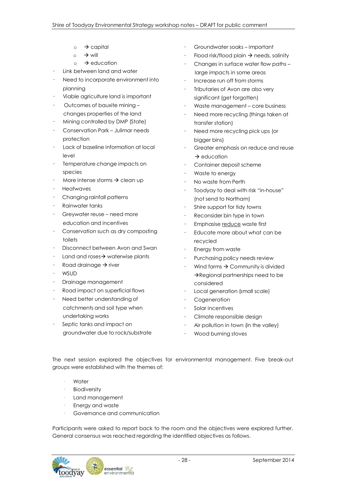- $\circ$   $\rightarrow$  capital
- $\circ$   $\rightarrow$  will
- $\circ$   $\rightarrow$  education
- Link between land and water
- Need to incorporate environment into planning
- Viable agriculture land is important
- Outcomes of bauxite mining changes properties of the land
- Mining controlled by DMP (State)
- Conservation Park Julimar needs protection
- Lack of baseline information at local level
- Temperature change impacts on species
- More intense storms  $\rightarrow$  clean up
- Heatwaves
- Changing rainfall patterns
- Rainwater tanks
- Greywater reuse need more education and incentives
- Conservation such as dry composting toilets
- Disconnect between Avon and Swan
- Land and roses $\rightarrow$  waterwise plants
- Road drainage  $\rightarrow$  river
- WSUD
- Drainage management
- Road impact on superficial flows
- Need better understanding of catchments and soil type when undertaking works
- Septic tanks and impact on groundwater due to rock/substrate
- Groundwater soaks important
- Flood risk/flood plain  $\rightarrow$  needs, salinity
- Changes in surface water flow paths large impacts in some areas
- Increase run off from storms
- Tributaries of Avon are also very significant (get forgotten)
- Waste management core business
- Need more recycling (things taken at transfer station)
- Need more recycling pick ups (or bigger bins)
- Greater emphasis on reduce and reuse  $\rightarrow$  education
- Container deposit scheme
- Waste to energy
- No waste from Perth
- Toodyay to deal with risk "in-house" (not send to Northam)
- Shire support for tidy towns
- Reconsider bin type in town
- Emphasise reduce waste first
- Educate more about what can be recycled
- Energy from waste
- Purchasing policy needs review
- Wind farms  $\rightarrow$  Community is divided  $\rightarrow$  Regional partnerships need to be considered
- Local generation (small scale)
- **Cogeneration**
- Solar incentives
- Climate responsible design
- Air pollution in town (in the valley)
- Wood burning stoves

The next session explored the objectives for environmental management. Five break-out groups were established with the themes of:

- Water
- **Biodiversity**
- Land management
- Energy and waste
- Governance and communication

Participants were asked to report back to the room and the objectives were explored further. General consensus was reached regarding the identified objectives as follows.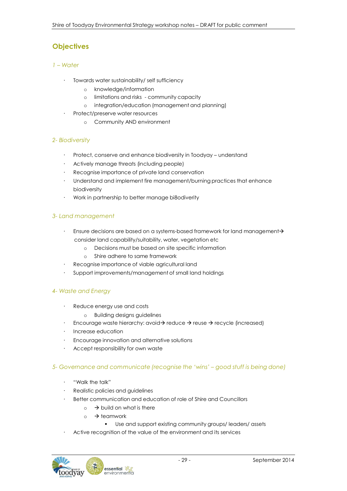# **Objectives**

#### *1 – Water*

- Towards water sustainability/ self sufficiency
	- o knowledge/information
	- o limitations and risks community capacity
	- o integration/education (management and planning)
- Protect/preserve water resources
	- o Community AND environment

#### *2- Biodiversity*

- Protect, conserve and enhance biodiversity in Toodyay understand
- Actively manage threats (including people)
- Recognise importance of private land conservation
- Understand and implement fire management/burning practices that enhance biodiversity
- Work in partnership to better manage bi8odiverity

#### *3- Land management*

- Ensure decisions are based on a systems-based framework for land management-> consider land capability/suitability, water, vegetation etc
	- o Decisions must be based on site specific information
	- o Shire adhere to same framework
- Recognise importance of viable agricultural land
- Support improvements/management of small land holdings

#### *4- Waste and Energy*

- Reduce energy use and costs
	- o Building designs guidelines
- Encourage waste hierarchy: avoid  $\rightarrow$  reduce  $\rightarrow$  reuse  $\rightarrow$  recycle (increased)
- Increase education
- Encourage innovation and alternative solutions
- Accept responsibility for own waste

#### *5- Governance and communicate (recognise the 'wins' – good stuff is being done)*

- "Walk the talk"
- Realistic policies and guidelines
- Better communication and education of role of Shire and Councillors
	- $\circ \rightarrow$  build on what is there
	- $\circ$   $\rightarrow$  teamwork
		- Use and support existing community groups/ leaders/ assets
- Active recognition of the value of the environment and its services

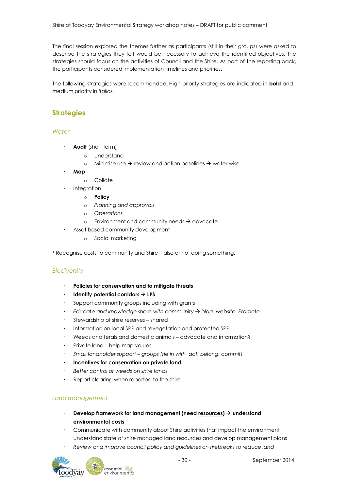The final session explored the themes further as participants (still in their groups) were asked to describe the strategies they felt would be necessary to achieve the identified objectives. The strategies should focus on the activities of Council and the Shire. As part of the reporting back, the participants considered implementation timelines and priorities.

The following strategies were recommended. High priority strategies are indicated in **bold** and medium priority in *italics.*

# **Strategies**

#### *Water*

- **Audit** (short term)
	- o Understand
	- o Minimise use  $\rightarrow$  review and action baselines  $\rightarrow$  water wise
- **Map**
	- o Collate
- **Integration** 
	- o **Policy**
	- o *Planning and approvals*
	- o *Operations*
	- o Environment and community needs  $\rightarrow$  advocate
- Asset based community development
	- o Social marketing

\* Recognise costs to community and Shire – also of not doing something.

#### *Biodiversity*

- **Policies for conservation and to mitigate threats**
- **Identify** potential corridors  $\rightarrow$  LPS
- Support community groups including with grants
- *Educate and knowledge share with community blog, website. Promote*
- Stewardship of shire reserves shared
- Information on local SPP and revegetation and protected SPP
- Weeds and ferals and domestic animals advocate and information?
- Private land help map values
- *Small landholder support – groups (tie in with act, belong, commit)*
- **Incentives for conservation on private land**
- *Better control of weeds on shire lands*
- Report clearing when reported to the shire

#### *Land management*

- **Develop framework for land management (need resources) understand environmental costs**
- Communicate with community about Shire activities that impact the environment
- Understand state of shire managed land resources and develop management plans
- *Review and improve council policy and guidelines on firebreaks to reduce land*

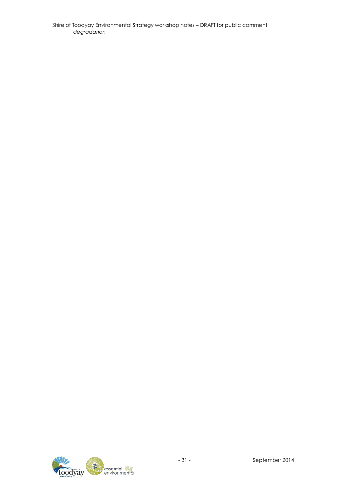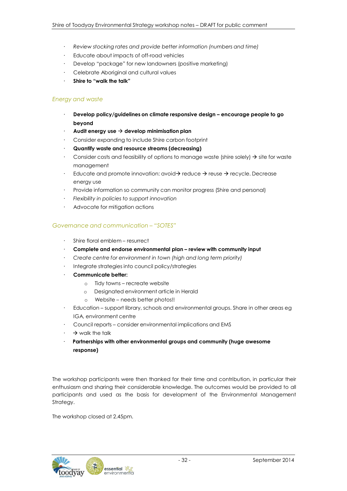- *Review stocking rates and provide better information (numbers and time)*
- Educate about impacts of off-road vehicles
- Develop "package" for new landowners (positive marketing)
- Celebrate Aboriginal and cultural values
- **Shire to "walk the talk"**

#### *Energy and waste*

- **Develop policy/guidelines on climate responsive design – encourage people to go beyond**
- **Audit energy use develop minimisation plan**
- Consider expanding to include Shire carbon footprint
- **Quantify waste and resource streams (decreasing)**
- Consider costs and feasibility of options to manage waste (shire solely)  $\rightarrow$  site for waste management
- Educate and promote innovation: avoid  $\rightarrow$  reduce  $\rightarrow$  reuse  $\rightarrow$  recycle. Decrease energy use
- Provide information so community can monitor progress (Shire and personal)
- *Flexibility in policies to support innovation*
- Advocate for mitigation actions

#### *Governance and communication – "SOTES"*

- Shire floral emblem resurrect
- **Complete and endorse environmental plan – review with community input**
- *Create centre for environment in town (high and long term priority)*
- Integrate strategies into council policy/strategies
- **Communicate better:**
	- o Tidy towns recreate website
	- o Designated environment article in Herald
	- o Website needs better photos!!
- Education support library, schools and environmental groups. Share in other areas eg IGA, environment centre
- Council reports consider environmental implications and EMS
- $\rightarrow$  walk the talk
- **Partnerships with other environmental groups and community (huge awesome response)**

The workshop participants were then thanked for their time and contribution, in particular their enthusiasm and sharing their considerable knowledge. The outcomes would be provided to all participants and used as the basis for development of the Environmental Management Strategy.

The workshop closed at 2.45pm.